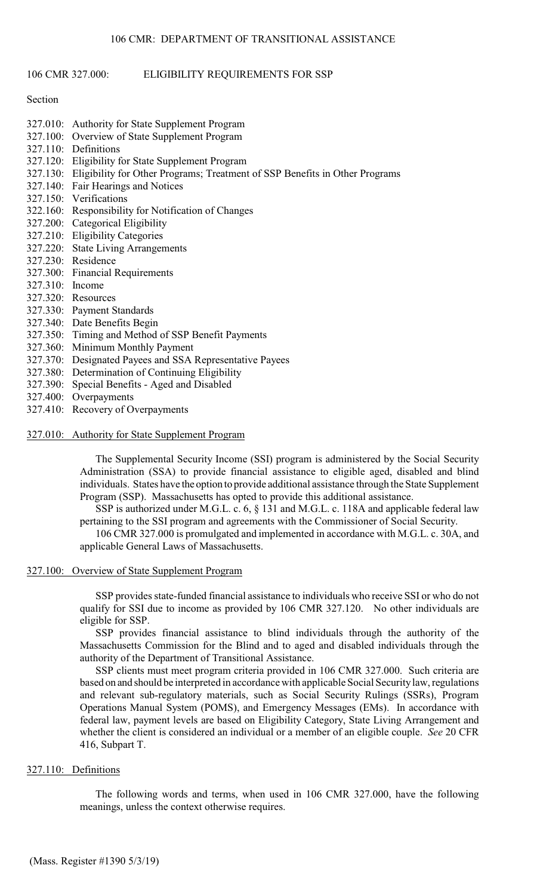#### 106 CMR 327.000: ELIGIBILITY REQUIREMENTS FOR SSP

#### Section

- 327.010: Authority for State Supplement Program
- 327.100: Overview of State Supplement Program
- 327.110: Definitions
- 327.120: Eligibility for State Supplement Program
- 327.130: Eligibility for Other Programs; Treatment of SSP Benefits in Other Programs
- 327.140: Fair Hearings and Notices
- 327.150: Verifications
- 322.160: Responsibility for Notification of Changes
- 327.200: Categorical Eligibility
- 327.210: Eligibility Categories
- 327.220: State Living Arrangements
- 327.230: Residence
- 327.300: Financial Requirements
- 327.310: Income
- 327.320: Resources
- 327.330: Payment Standards
- 327.340: Date Benefits Begin
- 327.350: Timing and Method of SSP Benefit Payments
- 327.360: Minimum Monthly Payment
- 327.370: Designated Payees and SSA Representative Payees
- 327.380: Determination of Continuing Eligibility
- 327.390: Special Benefits Aged and Disabled
- 327.400: Overpayments
- 327.410: Recovery of Overpayments
- 327.010: Authority for State Supplement Program

The Supplemental Security Income (SSI) program is administered by the Social Security Administration (SSA) to provide financial assistance to eligible aged, disabled and blind individuals. States have the option to provide additional assistance through the State Supplement Program (SSP). Massachusetts has opted to provide this additional assistance.

SSP is authorized under M.G.L. c. 6, § 131 and M.G.L. c. 118A and applicable federal law pertaining to the SSI program and agreements with the Commissioner of Social Security.

106 CMR 327.000 is promulgated and implemented in accordance with M.G.L. c. 30A, and applicable General Laws of Massachusetts.

#### 327.100: Overview of State Supplement Program

SSP provides state-funded financial assistance to individuals who receive SSI or who do not qualify for SSI due to income as provided by 106 CMR 327.120. No other individuals are eligible for SSP.

SSP provides financial assistance to blind individuals through the authority of the Massachusetts Commission for the Blind and to aged and disabled individuals through the authority of the Department of Transitional Assistance.

SSP clients must meet program criteria provided in 106 CMR 327.000. Such criteria are based on and should be interpreted in accordance with applicable Social Security law, regulations and relevant sub-regulatory materials, such as Social Security Rulings (SSRs), Program Operations Manual System (POMS), and Emergency Messages (EMs). In accordance with federal law, payment levels are based on Eligibility Category, State Living Arrangement and whether the client is considered an individual or a member of an eligible couple. *See* 20 CFR 416, Subpart T.

## 327.110: Definitions

The following words and terms, when used in 106 CMR 327.000, have the following meanings, unless the context otherwise requires.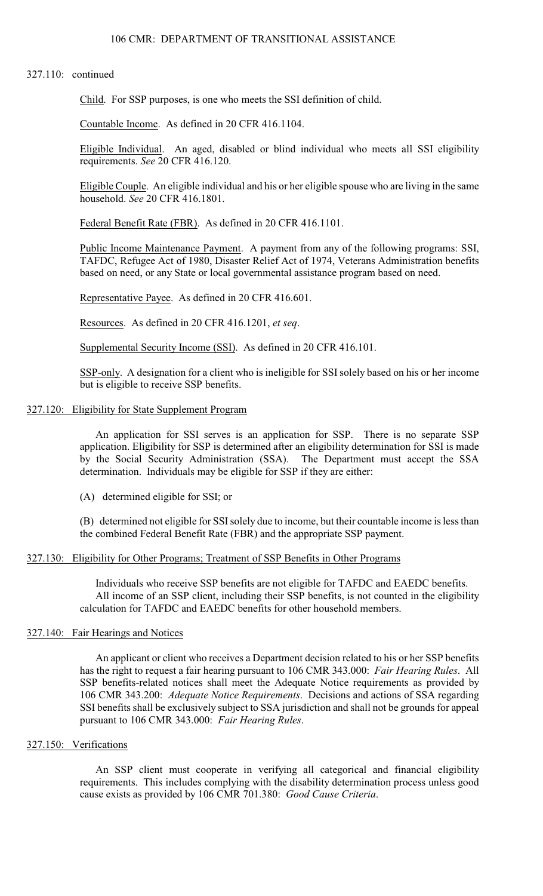### 327.110: continued

Child. For SSP purposes, is one who meets the SSI definition of child.

Countable Income. As defined in 20 CFR 416.1104.

Eligible Individual. An aged, disabled or blind individual who meets all SSI eligibility requirements. *See* 20 CFR 416.120.

Eligible Couple. An eligible individual and his or her eligible spouse who are living in the same household. *See* 20 CFR 416.1801.

Federal Benefit Rate (FBR). As defined in 20 CFR 416.1101.

Public Income Maintenance Payment. A payment from any of the following programs: SSI, TAFDC, Refugee Act of 1980, Disaster Relief Act of 1974, Veterans Administration benefits based on need, or any State or local governmental assistance program based on need.

Representative Payee. As defined in 20 CFR 416.601.

Resources. As defined in 20 CFR 416.1201, *et seq*.

Supplemental Security Income (SSI). As defined in 20 CFR 416.101.

SSP-only. A designation for a client who is ineligible for SSI solely based on his or her income but is eligible to receive SSP benefits.

## 327.120: Eligibility for State Supplement Program

An application for SSI serves is an application for SSP. There is no separate SSP application. Eligibility for SSP is determined after an eligibility determination for SSI is made by the Social Security Administration (SSA). The Department must accept the SSA determination. Individuals may be eligible for SSP if they are either:

(A) determined eligible for SSI; or

(B) determined not eligible for SSI solely due to income, but their countable income is less than the combined Federal Benefit Rate (FBR) and the appropriate SSP payment.

#### 327.130: Eligibility for Other Programs; Treatment of SSP Benefits in Other Programs

Individuals who receive SSP benefits are not eligible for TAFDC and EAEDC benefits. All income of an SSP client, including their SSP benefits, is not counted in the eligibility calculation for TAFDC and EAEDC benefits for other household members.

### 327.140: Fair Hearings and Notices

An applicant or client who receives a Department decision related to his or her SSP benefits has the right to request a fair hearing pursuant to 106 CMR 343.000: *Fair Hearing Rules*. All SSP benefits-related notices shall meet the Adequate Notice requirements as provided by 106 CMR 343.200: *Adequate Notice Requirements*. Decisions and actions of SSA regarding SSI benefits shall be exclusively subject to SSA jurisdiction and shall not be grounds for appeal pursuant to 106 CMR 343.000: *Fair Hearing Rules*.

## 327.150: Verifications

An SSP client must cooperate in verifying all categorical and financial eligibility requirements. This includes complying with the disability determination process unless good cause exists as provided by 106 CMR 701.380: *Good Cause Criteria*.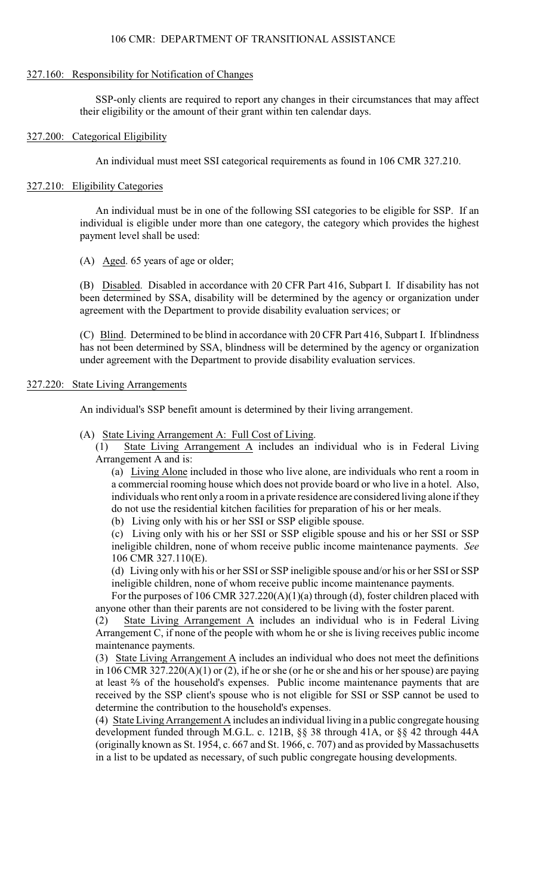## 106 CMR: DEPARTMENT OF TRANSITIONAL ASSISTANCE

## 327.160: Responsibility for Notification of Changes

SSP-only clients are required to report any changes in their circumstances that may affect their eligibility or the amount of their grant within ten calendar days.

## 327.200: Categorical Eligibility

An individual must meet SSI categorical requirements as found in 106 CMR 327.210.

## 327.210: Eligibility Categories

An individual must be in one of the following SSI categories to be eligible for SSP. If an individual is eligible under more than one category, the category which provides the highest payment level shall be used:

(A) Aged. 65 years of age or older;

(B) Disabled. Disabled in accordance with 20 CFR Part 416, Subpart I. If disability has not been determined by SSA, disability will be determined by the agency or organization under agreement with the Department to provide disability evaluation services; or

(C) Blind. Determined to be blind in accordance with 20 CFR Part 416, Subpart I. If blindness has not been determined by SSA, blindness will be determined by the agency or organization under agreement with the Department to provide disability evaluation services.

## 327.220: State Living Arrangements

An individual's SSP benefit amount is determined by their living arrangement.

- (A) State Living Arrangement A: Full Cost of Living.
	- (1) State Living Arrangement A includes an individual who is in Federal Living Arrangement A and is:

(a) Living Alone included in those who live alone, are individuals who rent a room in a commercial rooming house which does not provide board or who live in a hotel. Also, individuals who rent only a room in a private residence are considered living alone if they do not use the residential kitchen facilities for preparation of his or her meals.

(b) Living only with his or her SSI or SSP eligible spouse.

(c) Living only with his or her SSI or SSP eligible spouse and his or her SSI or SSP ineligible children, none of whom receive public income maintenance payments. *See* 106 CMR 327.110(E).

(d) Living only with his or her SSI or SSP ineligible spouse and/or his or her SSI or SSP ineligible children, none of whom receive public income maintenance payments.

For the purposes of 106 CMR 327.220(A)(1)(a) through (d), foster children placed with anyone other than their parents are not considered to be living with the foster parent.

(2) State Living Arrangement A includes an individual who is in Federal Living Arrangement C, if none of the people with whom he or she is living receives public income maintenance payments.

(3) State Living Arrangement A includes an individual who does not meet the definitions in 106 CMR 327.220(A)(1) or (2), if he or she (or he or she and his or her spouse) are paying at least  $\frac{2}{3}$  of the household's expenses. Public income maintenance payments that are received by the SSP client's spouse who is not eligible for SSI or SSP cannot be used to determine the contribution to the household's expenses.

(4) State Living Arrangement A includes an individual living in a public congregate housing development funded through M.G.L. c. 121B, §§ 38 through 41A, or §§ 42 through 44A (originally known as St. 1954, c. 667 and St. 1966, c. 707) and as provided by Massachusetts in a list to be updated as necessary, of such public congregate housing developments.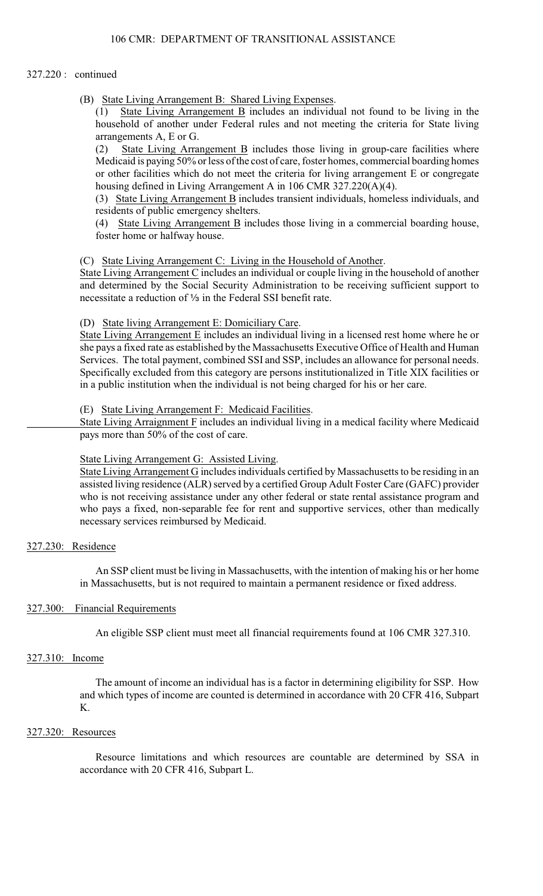## 327.220 : continued

(B) State Living Arrangement B: Shared Living Expenses.

(1) State Living Arrangement B includes an individual not found to be living in the household of another under Federal rules and not meeting the criteria for State living arrangements A, E or G.

(2) State Living Arrangement B includes those living in group-care facilities where Medicaid is paying 50% or less of the cost of care, foster homes, commercial boarding homes or other facilities which do not meet the criteria for living arrangement E or congregate housing defined in Living Arrangement A in 106 CMR 327.220(A)(4).

(3) State Living Arrangement B includes transient individuals, homeless individuals, and residents of public emergency shelters.

(4) State Living Arrangement B includes those living in a commercial boarding house, foster home or halfway house.

## (C) State Living Arrangement C: Living in the Household of Another.

State Living Arrangement C includes an individual or couple living in the household of another and determined by the Social Security Administration to be receiving sufficient support to necessitate a reduction of 1/3 in the Federal SSI benefit rate.

## (D) State living Arrangement E: Domiciliary Care.

State Living Arrangement E includes an individual living in a licensed rest home where he or she pays a fixed rate as established by the Massachusetts Executive Office of Health and Human Services. The total payment, combined SSI and SSP, includes an allowance for personal needs. Specifically excluded from this category are persons institutionalized in Title XIX facilities or in a public institution when the individual is not being charged for his or her care.

## (E) State Living Arrangement F: Medicaid Facilities.

State Living Arraignment F includes an individual living in a medical facility where Medicaid pays more than 50% of the cost of care.

#### State Living Arrangement G: Assisted Living.

State Living Arrangement G includes individuals certified by Massachusetts to be residing in an assisted living residence (ALR) served by a certified Group Adult Foster Care (GAFC) provider who is not receiving assistance under any other federal or state rental assistance program and who pays a fixed, non-separable fee for rent and supportive services, other than medically necessary services reimbursed by Medicaid.

## 327.230: Residence

An SSP client must be living in Massachusetts, with the intention of making his or her home in Massachusetts, but is not required to maintain a permanent residence or fixed address.

#### 327.300: Financial Requirements

An eligible SSP client must meet all financial requirements found at 106 CMR 327.310.

## 327.310: Income

The amount of income an individual has is a factor in determining eligibility for SSP. How and which types of income are counted is determined in accordance with 20 CFR 416, Subpart K.

### 327.320: Resources

Resource limitations and which resources are countable are determined by SSA in accordance with 20 CFR 416, Subpart L.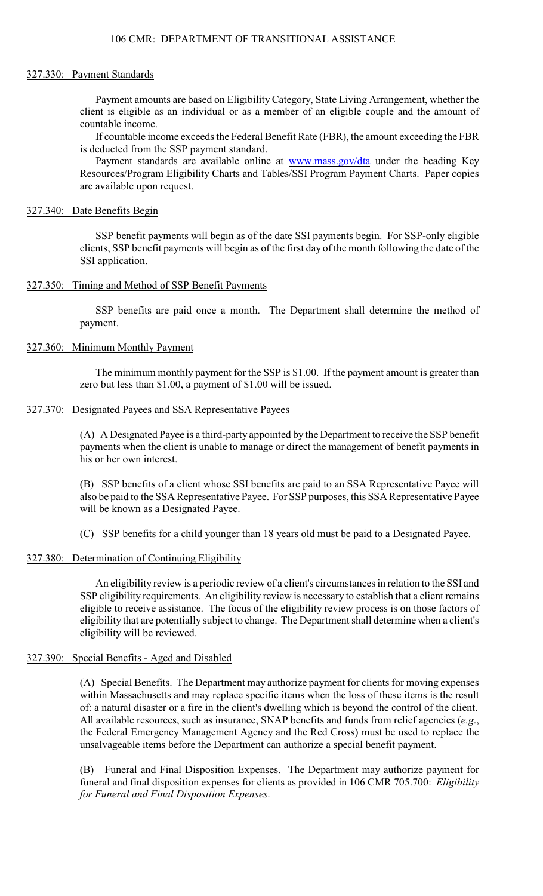### 327.330: Payment Standards

Payment amounts are based on Eligibility Category, State Living Arrangement, whether the client is eligible as an individual or as a member of an eligible couple and the amount of countable income.

If countable income exceeds the Federal Benefit Rate (FBR), the amount exceeding the FBR is deducted from the SSP payment standard.

Payment standards are available online at [www.mass.gov/dta](http://www.mass.gov/dta) under the heading Key Resources/Program Eligibility Charts and Tables/SSI Program Payment Charts. Paper copies are available upon request.

## 327.340: Date Benefits Begin

SSP benefit payments will begin as of the date SSI payments begin. For SSP-only eligible clients, SSP benefit payments will begin as of the first day of the month following the date of the SSI application.

## 327.350: Timing and Method of SSP Benefit Payments

SSP benefits are paid once a month. The Department shall determine the method of payment.

## 327.360: Minimum Monthly Payment

The minimum monthly payment for the SSP is \$1.00. If the payment amount is greater than zero but less than \$1.00, a payment of \$1.00 will be issued.

## 327.370: Designated Payees and SSA Representative Payees

(A) A Designated Payee is a third-party appointed by the Department to receive the SSP benefit payments when the client is unable to manage or direct the management of benefit payments in his or her own interest.

(B) SSP benefits of a client whose SSI benefits are paid to an SSA Representative Payee will also be paid to the SSA Representative Payee. For SSP purposes, this SSA Representative Payee will be known as a Designated Payee.

(C) SSP benefits for a child younger than 18 years old must be paid to a Designated Payee.

## 327.380: Determination of Continuing Eligibility

An eligibility review is a periodic review of a client's circumstances in relation to the SSI and SSP eligibility requirements. An eligibility review is necessary to establish that a client remains eligible to receive assistance. The focus of the eligibility review process is on those factors of eligibility that are potentially subject to change. The Department shall determine when a client's eligibility will be reviewed.

## 327.390: Special Benefits - Aged and Disabled

(A) Special Benefits. The Department may authorize payment for clients for moving expenses within Massachusetts and may replace specific items when the loss of these items is the result of: a natural disaster or a fire in the client's dwelling which is beyond the control of the client. All available resources, such as insurance, SNAP benefits and funds from relief agencies (*e.g*., the Federal Emergency Management Agency and the Red Cross) must be used to replace the unsalvageable items before the Department can authorize a special benefit payment.

Funeral and Final Disposition Expenses. The Department may authorize payment for funeral and final disposition expenses for clients as provided in 106 CMR 705.700: *Eligibility for Funeral and Final Disposition Expenses*.